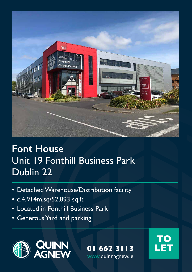

# **Font House**  Unit 19 Fonthill Business Park Dublin 22

- Detached Warehouse/Distribution facility
- c.4,914m.sq/52,893 sq.ft
- Located in Fonthill Business Park
- Generous Yard and parking



**01 662 3113 LET** www.quinnagnew.ie